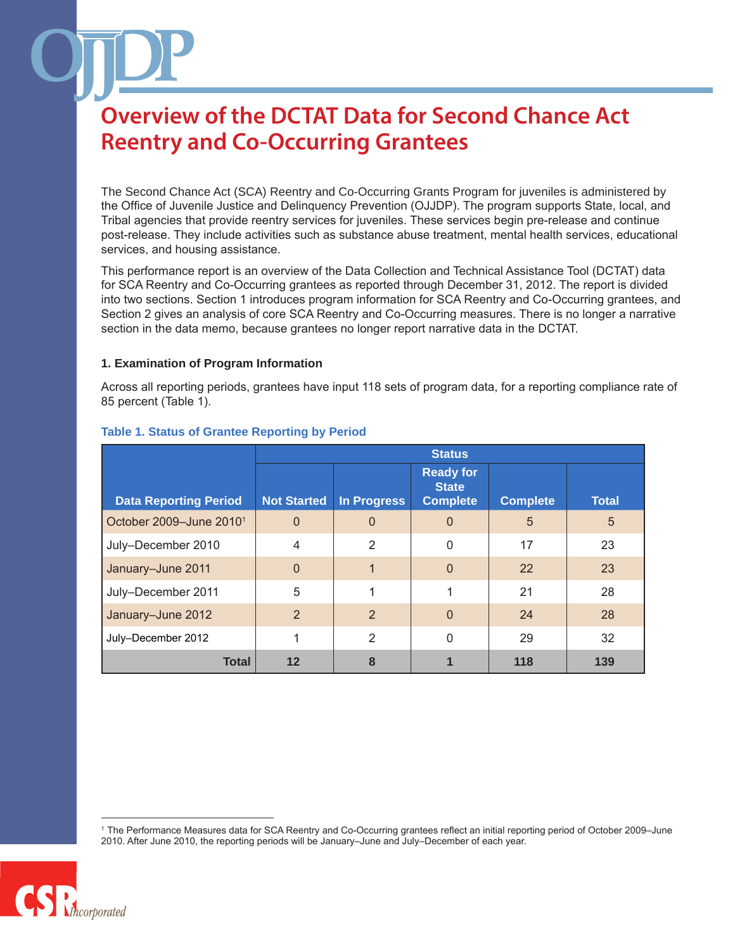The Second Chance Act (SCA) Reentry and Co-Occurring Grants Program for juveniles is administered by the Office of Juvenile Justice and Delinquency Prevention (OJJDP). The program supports State, local, and Tribal agencies that provide reentry services for juveniles. These services begin pre-release and continue post-release. They include activities such as substance abuse treatment, mental health services, educational services, and housing assistance.

This performance report is an overview of the Data Collection and Technical Assistance Tool (DCTAT) data for SCA Reentry and Co-Occurring grantees as reported through December 31, 2012. The report is divided into two sections. Section 1 introduces program information for SCA Reentry and Co-Occurring grantees, and Section 2 gives an analysis of core SCA Reentry and Co-Occurring measures. There is no longer a narrative section in the data memo, because grantees no longer report narrative data in the DCTAT.

#### **1. Examination of Program Information**

Across all reporting periods, grantees have input 118 sets of program data, for a reporting compliance rate of 85 percent (Table 1).

|                                     | <b>Status</b>      |                    |                                                     |                 |              |
|-------------------------------------|--------------------|--------------------|-----------------------------------------------------|-----------------|--------------|
| <b>Data Reporting Period</b>        | <b>Not Started</b> | <b>In Progress</b> | <b>Ready for</b><br><b>State</b><br><b>Complete</b> | <b>Complete</b> | <b>Total</b> |
| October 2009-June 2010 <sup>1</sup> | $\Omega$           | $\Omega$           | 0                                                   | 5               | 5            |
| July-December 2010                  | $\overline{4}$     | $\overline{2}$     | 0                                                   | 17              | 23           |
| January-June 2011                   | $\overline{0}$     | 1                  | $\Omega$                                            | 22              | 23           |
| July-December 2011                  | 5                  |                    |                                                     | 21              | 28           |
| January-June 2012                   | 2                  | $\overline{2}$     | $\overline{0}$                                      | 24              | 28           |
| July-December 2012                  |                    | 2                  | 0                                                   | 29              | 32           |
| <b>Total</b>                        | 12                 | 8                  |                                                     | 118             | 139          |

#### **Table 1. Status of Grantee Reporting by Period**

<sup>1</sup> The Performance Measures data for SCA Reentry and Co-Occurring grantees reflect an initial reporting period of October 2009–June 2010. After June 2010, the reporting periods will be January–June and July–December of each year.

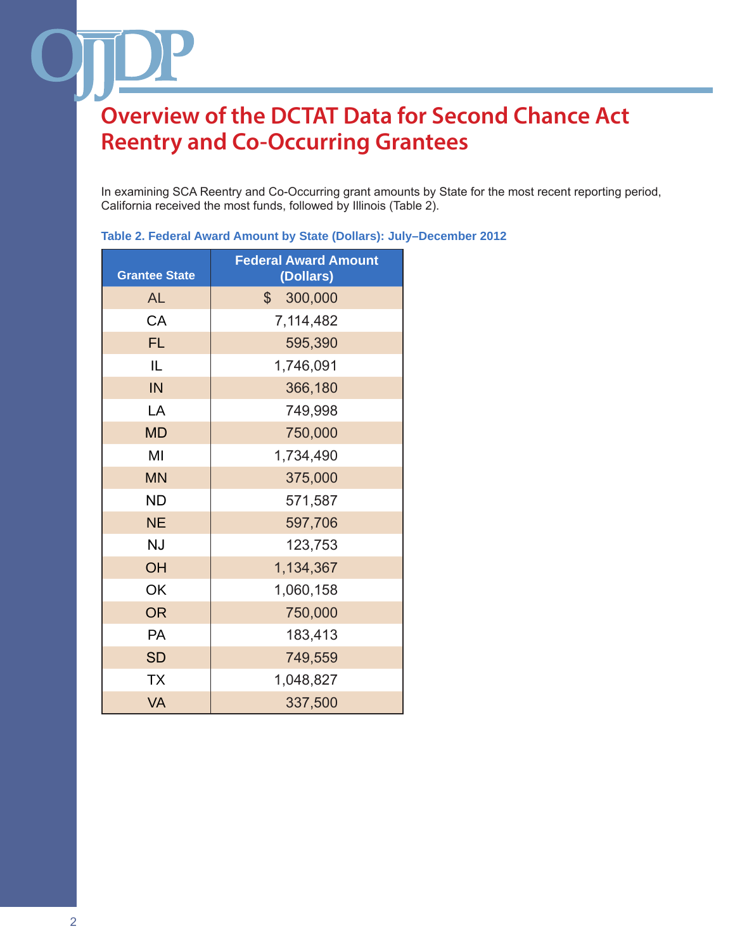In examining SCA Reentry and Co-Occurring grant amounts by State for the most recent reporting period, California received the most funds, followed by Illinois (Table 2).

| <b>Grantee State</b> | <b>Federal Award Amount</b><br>(Dollars) |  |  |
|----------------------|------------------------------------------|--|--|
| AL                   | 300,000<br>$\mathbb{S}$                  |  |  |
| CA                   | 7,114,482                                |  |  |
| <b>FL</b>            | 595,390                                  |  |  |
| IL                   | 1,746,091                                |  |  |
| IN                   | 366,180                                  |  |  |
| LA                   | 749,998                                  |  |  |
| <b>MD</b>            | 750,000                                  |  |  |
| MI                   | 1,734,490                                |  |  |
| <b>MN</b>            | 375,000                                  |  |  |
| <b>ND</b>            | 571,587                                  |  |  |
| <b>NE</b>            | 597,706                                  |  |  |
| <b>NJ</b>            | 123,753                                  |  |  |
| OH                   | 1,134,367                                |  |  |
| OK                   | 1,060,158                                |  |  |
| <b>OR</b>            | 750,000                                  |  |  |
| PA                   | 183,413                                  |  |  |
| <b>SD</b>            | 749,559                                  |  |  |
| <b>TX</b>            | 1,048,827                                |  |  |
| <b>VA</b>            | 337,500                                  |  |  |

#### **Table 2. Federal Award Amount by State (Dollars): July–December 2012**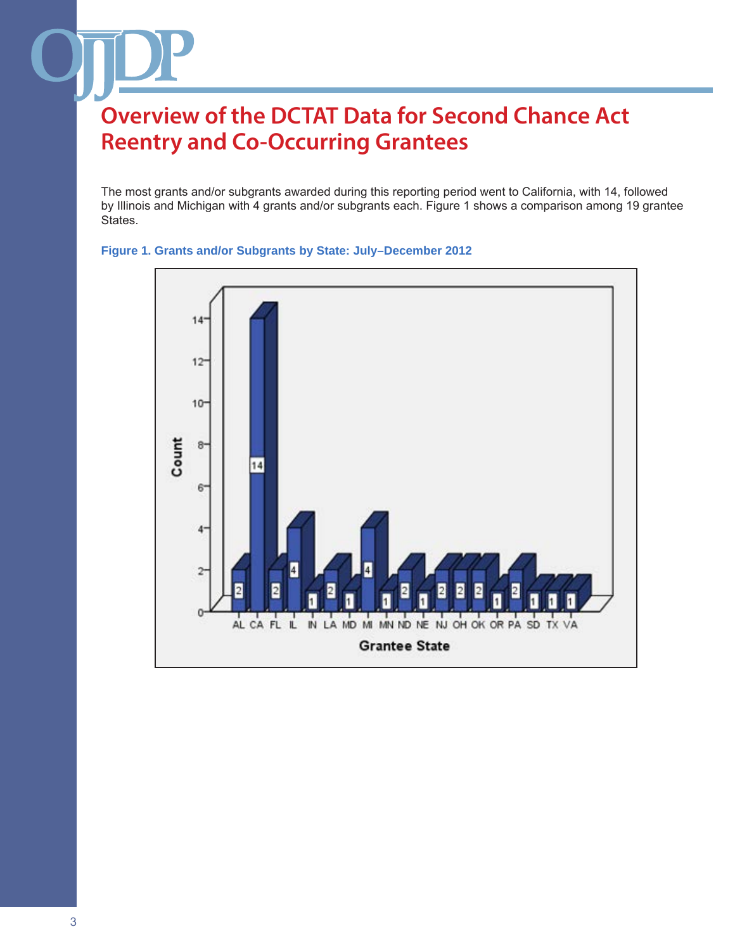The most grants and/or subgrants awarded during this reporting period went to California, with 14, followed by Illinois and Michigan with 4 grants and/or subgrants each. Figure 1 shows a comparison among 19 grantee States.



#### **Figure 1. Grants and/or Subgrants by State: July–December 2012**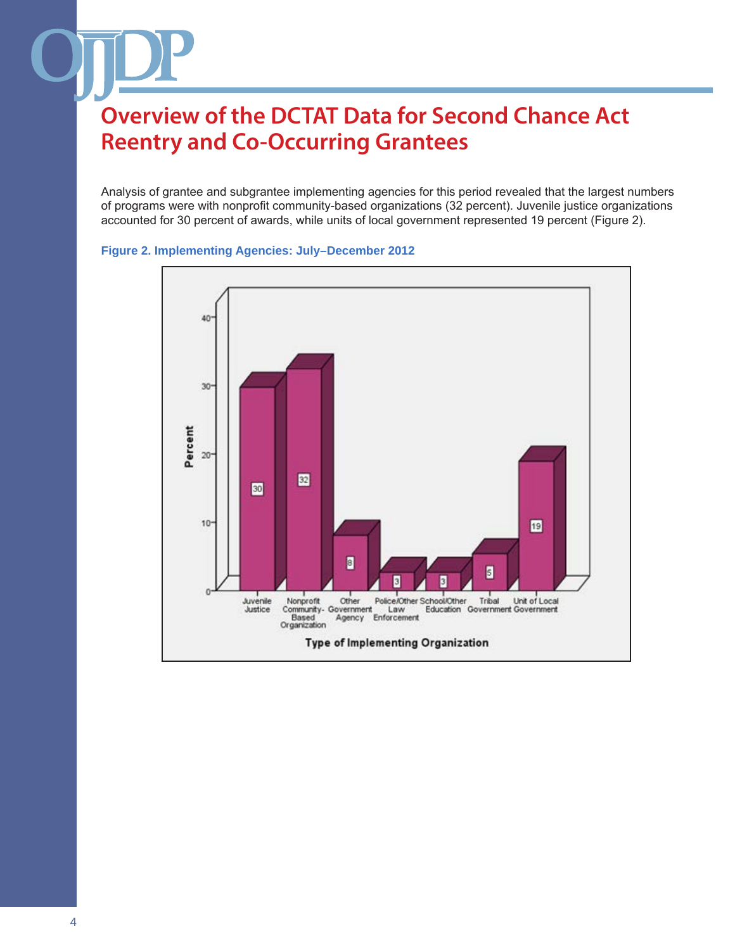Analysis of grantee and subgrantee implementing agencies for this period revealed that the largest numbers of programs were with nonprofit community-based organizations (32 percent). Juvenile justice organizations accounted for 30 percent of awards, while units of local government represented 19 percent (Figure 2).



#### **Figure 2. Implementing Agencies: July–December 2012**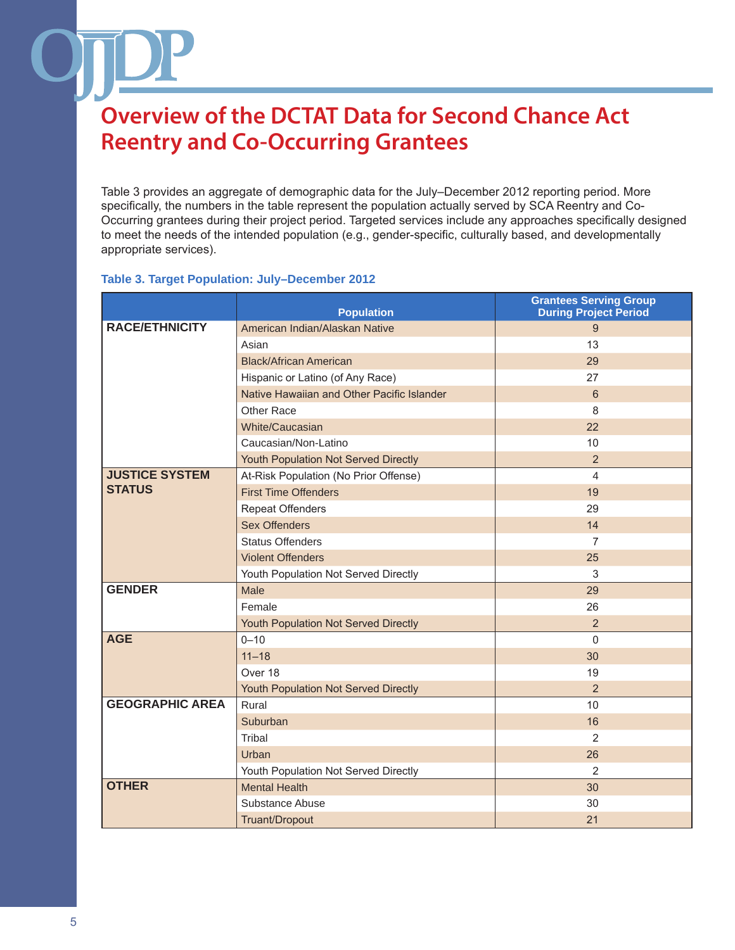Table 3 provides an aggregate of demographic data for the July–December 2012 reporting period. More specifically, the numbers in the table represent the population actually served by SCA Reentry and Co-Occurring grantees during their project period. Targeted services include any approaches specifically designed to meet the needs of the intended population (e.g., gender-specific, culturally based, and developmentally appropriate services).

#### **Population Grantees Serving Group During Project Period RACE/ETHNICITY** American Indian/Alaskan Native 9 0 0 1 1 1 2 2 3 9 Asian 13 Black/African American 29 Hispanic or Latino (of Any Race) 27 Native Hawaiian and Other Pacific Islander **6** 6 Other Race 8 White/Caucasian 22 Caucasian/Non-Latino 10 Youth Population Not Served Directly **2** 2 **JUSTICE SYSTEM STATUS** At-Risk Population (No Prior Offense) 4 First Time Offenders **19** No. 19 No. 19 No. 19 No. 19 No. 19 No. 19 No. 19 No. 19 No. 19 No. 19 No. 19 No. 19 No. 19 No. 19 No. 19 No. 19 No. 19 No. 19 No. 19 No. 19 No. 19 No. 19 No. 19 No. 19 No. 19 No. 19 No. 19 No. 19 Repeat Offenders 29 Sex Offenders **14** and 14 Status Offenders 7 Violent Offenders 25 Youth Population Not Served Directly **3** Analysis and 3

### **Table 3. Target Population: July–December 2012**

| Caucasian/Non-Latino   |                                       | 10             |
|------------------------|---------------------------------------|----------------|
|                        | Youth Population Not Served Directly  | $\overline{2}$ |
| <b>JUSTICE SYSTEM</b>  | At-Risk Population (No Prior Offense) | 4              |
| <b>STATUS</b>          | <b>First Time Offenders</b>           | 19             |
|                        | <b>Repeat Offenders</b>               | 29             |
|                        | <b>Sex Offenders</b>                  | 14             |
|                        | <b>Status Offenders</b>               | 7              |
|                        | <b>Violent Offenders</b>              | 25             |
|                        | Youth Population Not Served Directly  | 3              |
| <b>GENDER</b>          | Male                                  | 29             |
|                        | Female                                | 26             |
|                        | Youth Population Not Served Directly  | $\overline{2}$ |
| <b>AGE</b>             | $0 - 10$                              | $\Omega$       |
|                        | $11 - 18$                             | 30             |
|                        | Over 18                               | 19             |
|                        | Youth Population Not Served Directly  | $\overline{2}$ |
| <b>GEOGRAPHIC AREA</b> | Rural                                 | 10             |
|                        | Suburban                              | 16             |
|                        | Tribal                                | 2              |
|                        | Urban                                 | 26             |
|                        | Youth Population Not Served Directly  | $\overline{2}$ |
| <b>OTHER</b>           | <b>Mental Health</b>                  | 30             |
|                        | Substance Abuse                       | 30             |
|                        | Truant/Dropout                        | 21             |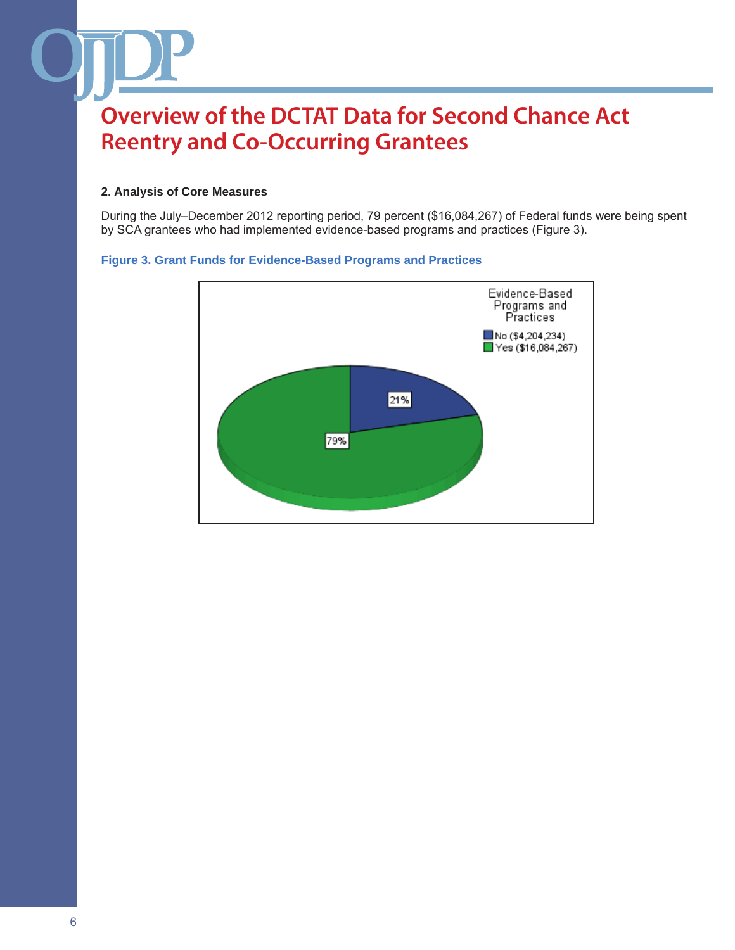#### **2. Analysis of Core Measures**

During the July–December 2012 reporting period, 79 percent (\$16,084,267) of Federal funds were being spent by SCA grantees who had implemented evidence-based programs and practices (Figure 3).

#### **Figure 3. Grant Funds for Evidence-Based Programs and Practices**

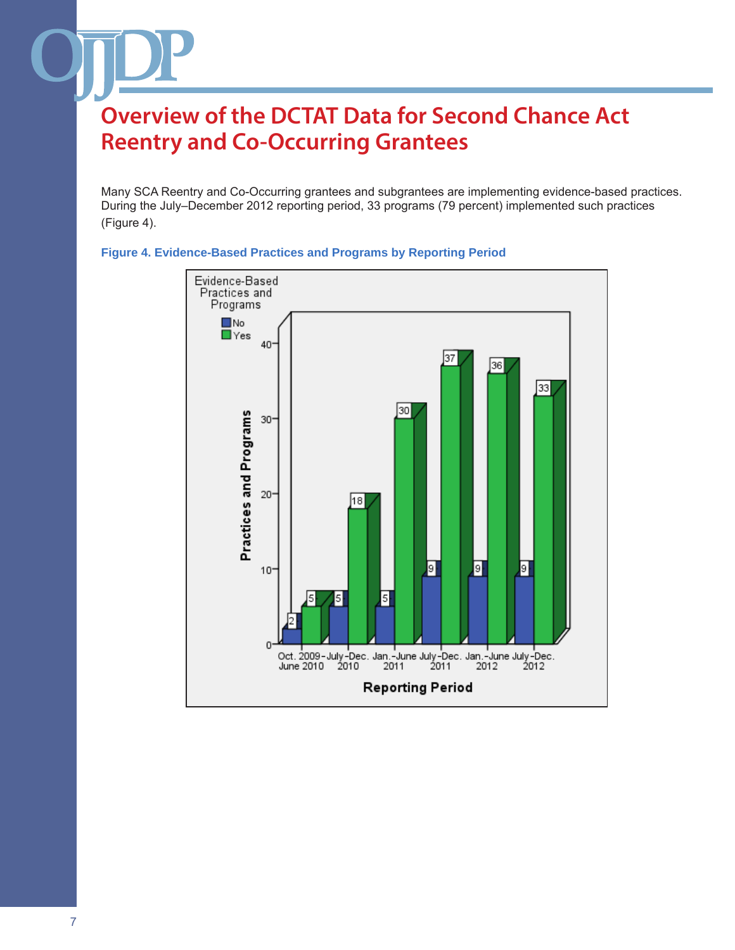Many SCA Reentry and Co-Occurring grantees and subgrantees are implementing evidence-based practices. During the July–December 2012 reporting period, 33 programs (79 percent) implemented such practices (Figure 4).



#### **Figure 4. Evidence-Based Practices and Programs by Reporting Period**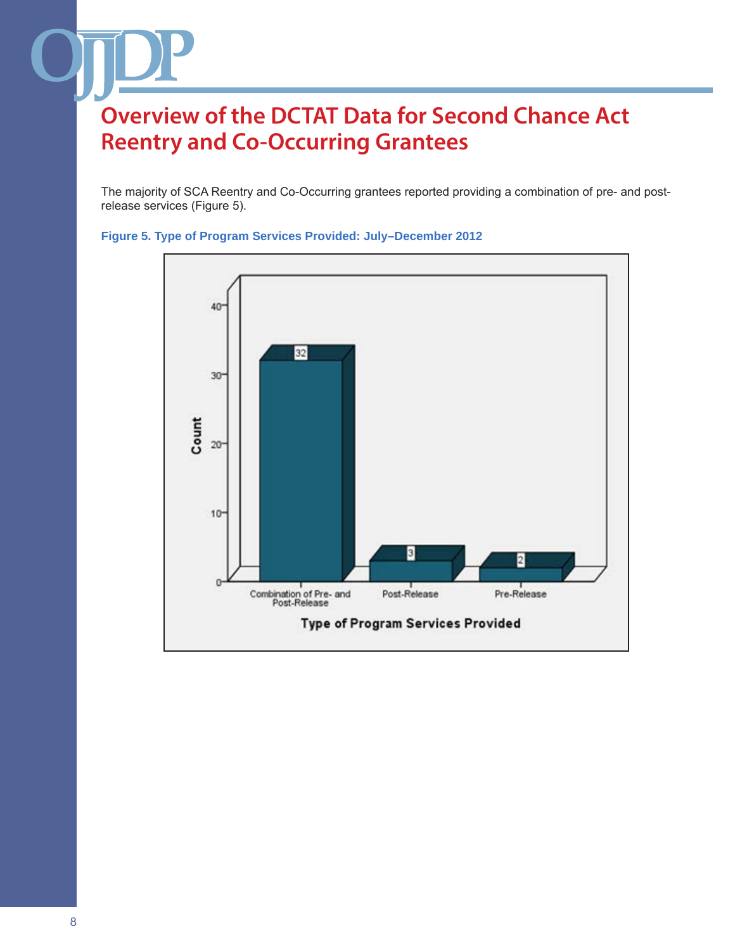The majority of SCA Reentry and Co-Occurring grantees reported providing a combination of pre- and postrelease services (Figure 5).



**Figure 5. Type of Program Services Provided: July–December 2012**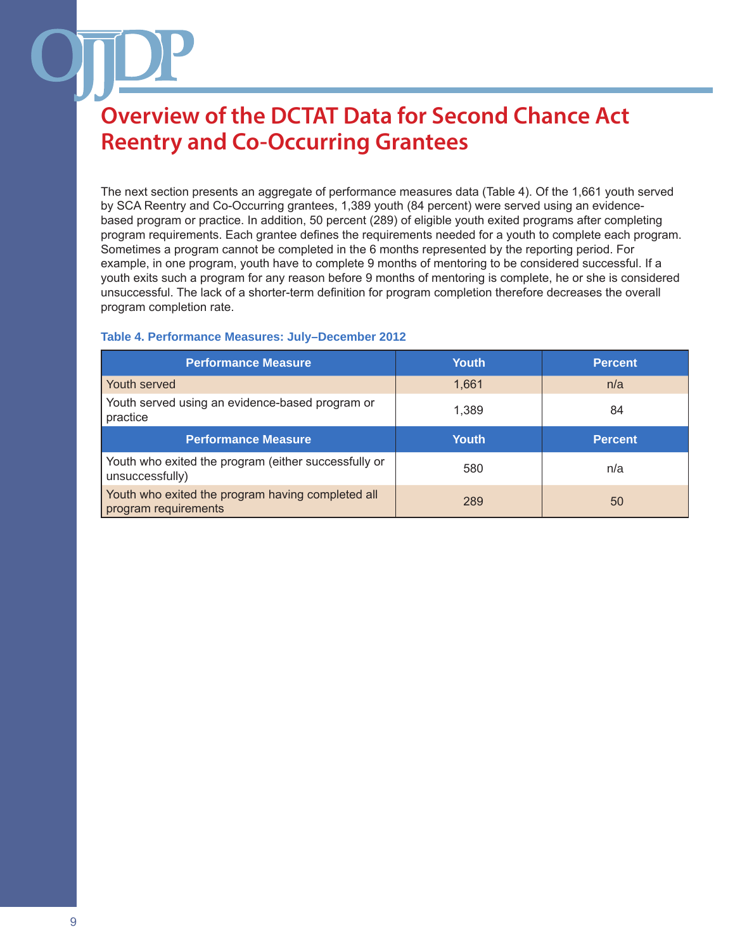The next section presents an aggregate of performance measures data (Table 4). Of the 1,661 youth served by SCA Reentry and Co-Occurring grantees, 1,389 youth (84 percent) were served using an evidencebased program or practice. In addition, 50 percent (289) of eligible youth exited programs after completing program requirements. Each grantee defines the requirements needed for a youth to complete each program. Sometimes a program cannot be completed in the 6 months represented by the reporting period. For example, in one program, youth have to complete 9 months of mentoring to be considered successful. If a youth exits such a program for any reason before 9 months of mentoring is complete, he or she is considered unsuccessful. The lack of a shorter-term definition for program completion therefore decreases the overall program completion rate.

#### **Table 4. Performance Measures: July–December 2012**

| <b>Performance Measure</b>                                                | <b>Youth</b> | <b>Percent</b> |
|---------------------------------------------------------------------------|--------------|----------------|
| Youth served                                                              | 1,661        | n/a            |
| Youth served using an evidence-based program or<br>practice               | 1.389        | 84             |
| <b>Performance Measure</b>                                                | <b>Youth</b> | <b>Percent</b> |
| Youth who exited the program (either successfully or<br>unsuccessfully)   | 580          | n/a            |
| Youth who exited the program having completed all<br>program requirements | 289          | 50             |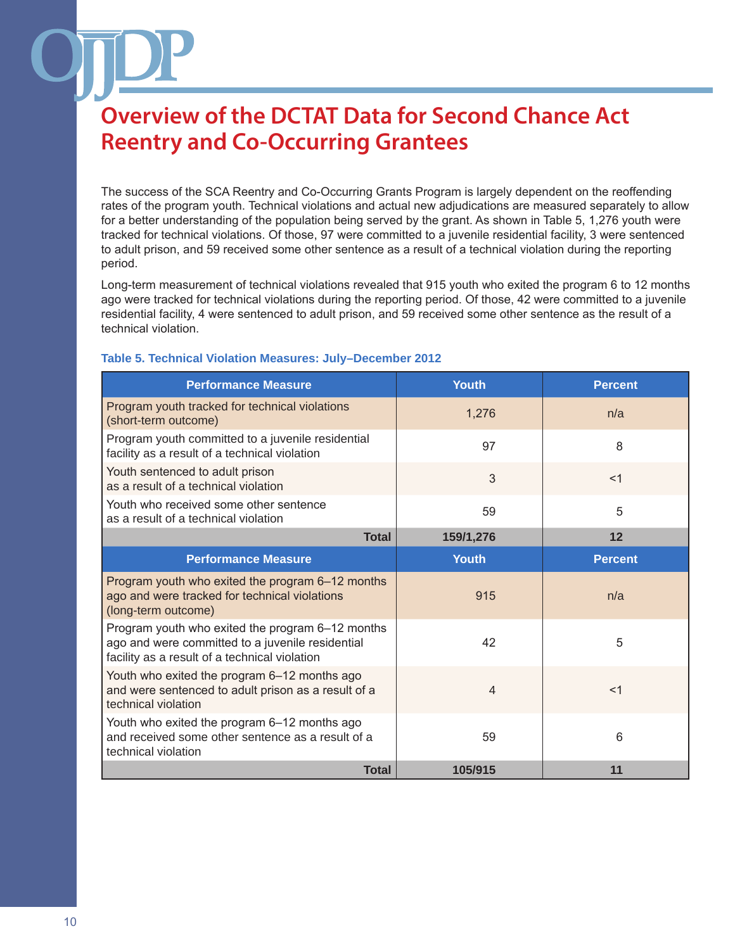The success of the SCA Reentry and Co-Occurring Grants Program is largely dependent on the reoffending rates of the program youth. Technical violations and actual new adjudications are measured separately to allow for a better understanding of the population being served by the grant. As shown in Table 5, 1,276 youth were tracked for technical violations. Of those, 97 were committed to a juvenile residential facility, 3 were sentenced to adult prison, and 59 received some other sentence as a result of a technical violation during the reporting period.

Long-term measurement of technical violations revealed that 915 youth who exited the program 6 to 12 months ago were tracked for technical violations during the reporting period. Of those, 42 were committed to a juvenile residential facility, 4 were sentenced to adult prison, and 59 received some other sentence as the result of a technical violation.

| <b>Performance Measure</b>                                                                                                                            | Youth          | <b>Percent</b> |
|-------------------------------------------------------------------------------------------------------------------------------------------------------|----------------|----------------|
| Program youth tracked for technical violations<br>(short-term outcome)                                                                                | 1,276          | n/a            |
| Program youth committed to a juvenile residential<br>facility as a result of a technical violation                                                    | 97             | 8              |
| Youth sentenced to adult prison<br>as a result of a technical violation                                                                               | 3              | $<$ 1          |
| Youth who received some other sentence<br>as a result of a technical violation                                                                        | 59             | 5              |
| <b>Total</b>                                                                                                                                          | 159/1,276      | 12             |
| <b>Performance Measure</b>                                                                                                                            | <b>Youth</b>   | <b>Percent</b> |
| Program youth who exited the program 6-12 months<br>ago and were tracked for technical violations<br>(long-term outcome)                              | 915            | n/a            |
| Program youth who exited the program 6-12 months<br>ago and were committed to a juvenile residential<br>facility as a result of a technical violation | 42             | 5              |
| Youth who exited the program 6-12 months ago<br>and were sentenced to adult prison as a result of a<br>technical violation                            | $\overline{4}$ | $<$ 1          |
| Youth who exited the program 6-12 months ago<br>and received some other sentence as a result of a<br>technical violation                              | 59             | 6              |
| <b>Total</b>                                                                                                                                          | 105/915        | 11             |

#### **Table 5. Technical Violation Measures: July–December 2012**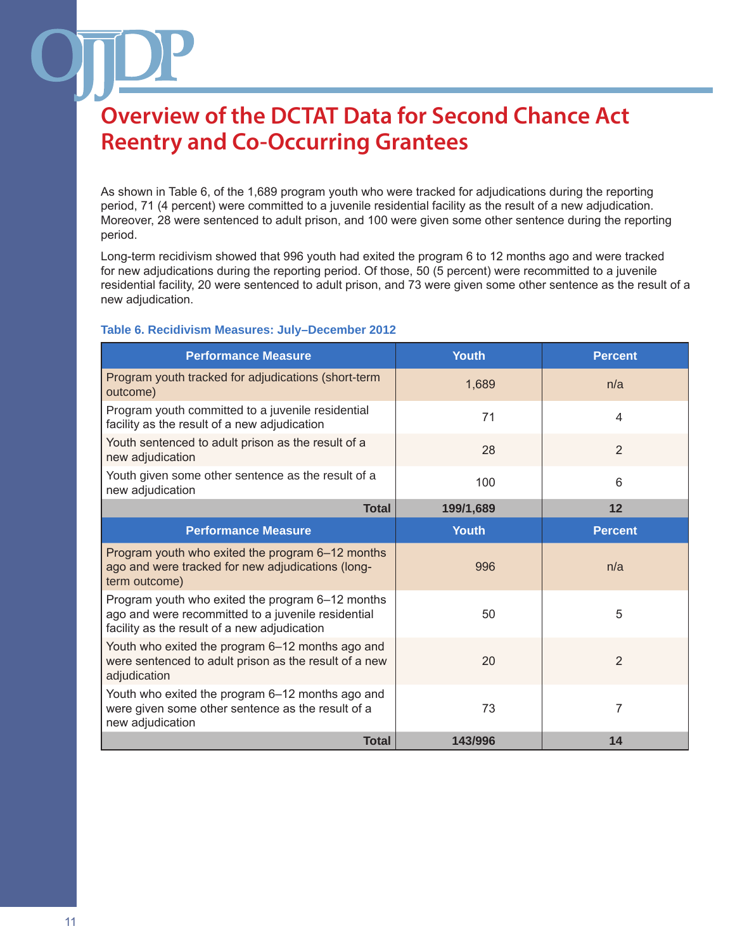As shown in Table 6, of the 1,689 program youth who were tracked for adjudications during the reporting period, 71 (4 percent) were committed to a juvenile residential facility as the result of a new adjudication. Moreover, 28 were sentenced to adult prison, and 100 were given some other sentence during the reporting period.

Long-term recidivism showed that 996 youth had exited the program 6 to 12 months ago and were tracked for new adjudications during the reporting period. Of those, 50 (5 percent) were recommitted to a juvenile residential facility, 20 were sentenced to adult prison, and 73 were given some other sentence as the result of a new adjudication.

### **Table 6. Recidivism Measures: July–December 2012**

| <b>Performance Measure</b>                                                                                                                             | <b>Youth</b> | <b>Percent</b> |
|--------------------------------------------------------------------------------------------------------------------------------------------------------|--------------|----------------|
| Program youth tracked for adjudications (short-term<br>outcome)                                                                                        | 1,689        | n/a            |
| Program youth committed to a juvenile residential<br>facility as the result of a new adjudication                                                      | 71           | 4              |
| Youth sentenced to adult prison as the result of a<br>new adjudication                                                                                 | 28           | $\overline{2}$ |
| Youth given some other sentence as the result of a<br>new adjudication                                                                                 | 100          | 6              |
| <b>Total</b>                                                                                                                                           | 199/1,689    | 12             |
| <b>Performance Measure</b>                                                                                                                             | <b>Youth</b> | <b>Percent</b> |
| Program youth who exited the program 6–12 months<br>ago and were tracked for new adjudications (long-<br>term outcome)                                 | 996          | n/a            |
| Program youth who exited the program 6-12 months<br>ago and were recommitted to a juvenile residential<br>facility as the result of a new adjudication | 50           | 5              |
| Youth who exited the program 6-12 months ago and<br>were sentenced to adult prison as the result of a new<br>adjudication                              | 20           | $\overline{2}$ |
| Youth who exited the program 6-12 months ago and<br>were given some other sentence as the result of a<br>new adjudication                              | 73           | 7              |
| <b>Total</b>                                                                                                                                           | 143/996      | 14             |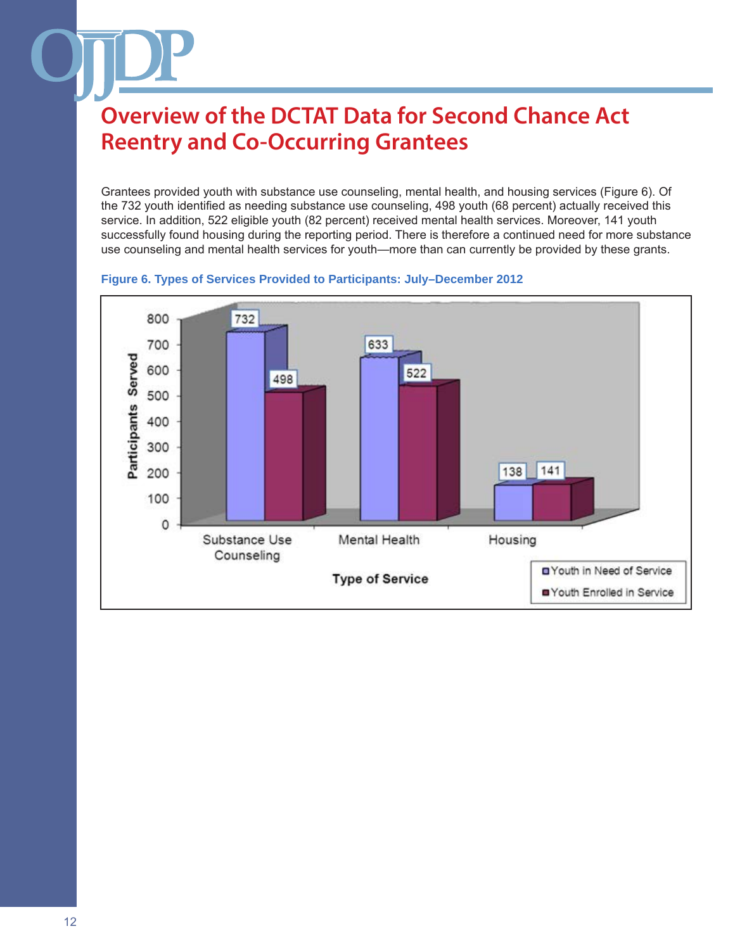Grantees provided youth with substance use counseling, mental health, and housing services (Figure 6). Of the 732 youth identified as needing substance use counseling, 498 youth (68 percent) actually received this service. In addition, 522 eligible youth (82 percent) received mental health services. Moreover, 141 youth successfully found housing during the reporting period. There is therefore a continued need for more substance use counseling and mental health services for youth—more than can currently be provided by these grants.